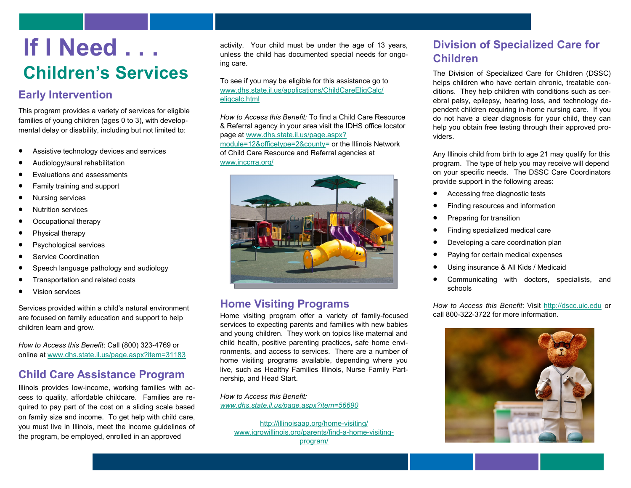# **If I Need . . . Children's Services**

### **Early Intervention**

This program provides a variety of services for eligible families of young children (ages 0 to 3), with developmental delay or disability, including but not limited to:

- Assistive technology devices and services
- Audiology/aural rehabilitation
- Evaluations and assessments
- Family training and support
- Nursing services
- Nutrition services
- Occupational therapy
- Physical therapy
- Psychological services
- Service Coordination
- Speech language pathology and audiology
- Transportation and related costs
- Vision services

Services provided within a child's natural environment are focused on family education and support to help children learn and grow.

*How to Access this Benefit*: Call (800) 323-4769 or online at [www.dhs.state.il.us/page.aspx?item=31183](http://www.dhs.state.il.us/page.aspx?item=31183)

## **Child Care Assistance Program**

Illinois provides low-income, working families with access to quality, affordable childcare. Families are required to pay part of the cost on a sliding scale based on family size and income. To get help with child care, you must live in Illinois, meet the income guidelines of the program, be employed, enrolled in an approved

activity. Your child must be under the age of 13 years, unless the child has documented special needs for ongoing care.

To see if you may be eligible for this assistance go to [www.dhs.state.il.us/applications/ChildCareEligCalc/](http://www.dhs.state.il.us/applications/ChildCareEligCalc/eligcalc.html) [eligcalc.html](http://www.dhs.state.il.us/applications/ChildCareEligCalc/eligcalc.html)

*How to Access this Benefit:* To find a Child Care Resource & Referral agency in your area visit the IDHS office locator page at [www.dhs.state.il.us/page.aspx?](http://www.dhs.state.il.us/page.aspx?module=12&officetype=2&county) [module=12&officetype=2&county=](http://www.dhs.state.il.us/page.aspx?module=12&officetype=2&county) or the Illinois Network of Child Care Resource and Referral agencies at

[www.inccrra.org/](http://www.inccrra.org/)



#### **Home Visiting Programs**

Home visiting program offer a variety of family-focused services to expecting parents and families with new babies and young children. They work on topics like maternal and child health, positive parenting practices, safe home environments, and access to services. There are a number of home visiting programs available, depending where you live, such as Healthy Families Illinois, Nurse Family Partnership, and Head Start.

*How to Access this Benefit: [www.dhs.state.il.us/page.aspx?item=56690](http://www.dhs.state.il.us/page.aspx?item=56690)*

[http://illinoisaap.org/home](http://illinoisaap.org/home-visiting/)-visiting/ [www.igrowillinois.org/parents/find](http://www.igrowillinois.org/parents/find-a-home-visiting-program/)-a-home-visiting[program/](http://www.igrowillinois.org/parents/find-a-home-visiting-program/)

## **Division of Specialized Care for Children**

The Division of Specialized Care for Children (DSSC) helps children who have certain chronic, treatable conditions. They help children with conditions such as cerebral palsy, epilepsy, hearing loss, and technology dependent children requiring in-home nursing care. If you do not have a clear diagnosis for your child, they can help you obtain free testing through their approved providers.

Any Illinois child from birth to age 21 may qualify for this program. The type of help you may receive will depend on your specific needs. The DSSC Care Coordinators provide support in the following areas:

- Accessing free diagnostic tests
- **•** Finding resources and information
- Preparing for transition
- **•** Finding specialized medical care
- Developing a care coordination plan
- Paying for certain medical expenses
- Using insurance & All Kids / Medicaid
- Communicating with doctors, specialists, and schools

*How to Access this Benefit*: Visit <http://dscc.uic.edu> or call 800-322-3722 for more information.